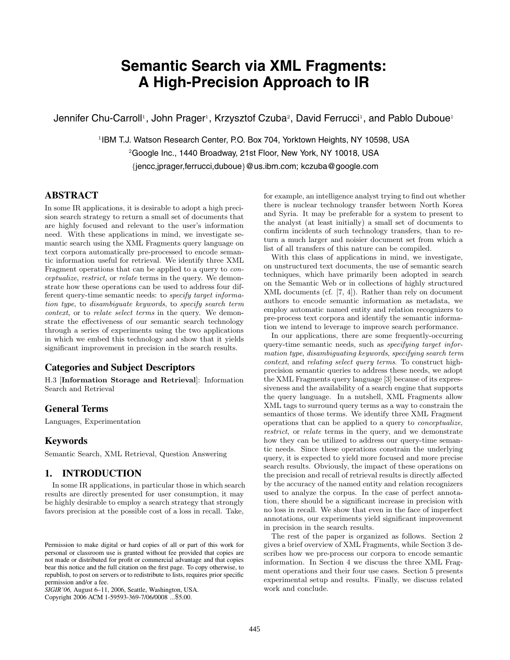# **Semantic Search via XML Fragments: A High-Precision Approach to IR**

Jennifer Chu-Carroll<sup>1</sup>, John Prager<sup>1</sup>, Krzysztof Czuba<sup>2</sup>, David Ferrucci<sup>1</sup>, and Pablo Duboue<sup>1</sup>

<sup>1</sup>IBM T.J. Watson Research Center, P.O. Box 704, Yorktown Heights, NY 10598, USA <sup>2</sup>Google Inc., 1440 Broadway, 21st Floor, New York, NY 10018, USA *{*jencc,jprager,ferrucci,duboue*}*@us.ibm.com; kczuba@google.com

# **ABSTRACT**

In some IR applications, it is desirable to adopt a high precision search strategy to return a small set of documents that are highly focused and relevant to the user's information need. With these applications in mind, we investigate semantic search using the XML Fragments query language on text corpora automatically pre-processed to encode semantic information useful for retrieval. We identify three XML Fragment operations that can be applied to a query to *conceptualize*, *restrict*, or *relate* terms in the query. We demonstrate how these operations can be used to address four different query-time semantic needs: to *specify target information type*, to *disambiguate keywords*, to *specify search term context*, or to *relate select terms* in the query. We demonstrate the effectiveness of our semantic search technology through a series of experiments using the two applications in which we embed this technology and show that it yields significant improvement in precision in the search results.

# **Categories and Subject Descriptors**

H.3 [**Information Storage and Retrieval**]: Information Search and Retrieval

# **General Terms**

Languages, Experimentation

# **Keywords**

Semantic Search, XML Retrieval, Question Answering

# **1. INTRODUCTION**

In some IR applications, in particular those in which search results are directly presented for user consumption, it may be highly desirable to employ a search strategy that strongly favors precision at the possible cost of a loss in recall. Take,

Copyright 2006 ACM 1-59593-369-7/06/0008 ...\$5.00.

for example, an intelligence analyst trying to find out whether there is nuclear technology transfer between North Korea and Syria. It may be preferable for a system to present to the analyst (at least initially) a small set of documents to confirm incidents of such technology transfers, than to return a much larger and noisier document set from which a list of all transfers of this nature can be compiled.

With this class of applications in mind, we investigate, on unstructured text documents, the use of semantic search techniques, which have primarily been adopted in search on the Semantic Web or in collections of highly structured XML documents (cf. [7, 4]). Rather than rely on document authors to encode semantic information as metadata, we employ automatic named entity and relation recognizers to pre-process text corpora and identify the semantic information we intend to leverage to improve search performance.

In our applications, there are some frequently-occurring query-time semantic needs, such as *specifying target information type*, *disambiguating keywords*, *specifying search term context*, and *relating select query terms*. To construct highprecision semantic queries to address these needs, we adopt the XML Fragments query language [3] because of its expressiveness and the availability of a search engine that supports the query language. In a nutshell, XML Fragments allow XML tags to surround query terms as a way to constrain the semantics of those terms. We identify three XML Fragment operations that can be applied to a query to *conceptualize*, *restrict*, or *relate* terms in the query, and we demonstrate how they can be utilized to address our query-time semantic needs. Since these operations constrain the underlying query, it is expected to yield more focused and more precise search results. Obviously, the impact of these operations on the precision and recall of retrieval results is directly affected by the accuracy of the named entity and relation recognizers used to analyze the corpus. In the case of perfect annotation, there should be a significant increase in precision with no loss in recall. We show that even in the face of imperfect annotations, our experiments yield significant improvement in precision in the search results.

The rest of the paper is organized as follows. Section 2 gives a brief overview of XML Fragments, while Section 3 describes how we pre-process our corpora to encode semantic information. In Section 4 we discuss the three XML Fragment operations and their four use cases. Section 5 presents experimental setup and results. Finally, we discuss related work and conclude.

Permission to make digital or hard copies of all or part of this work for personal or classroom use is granted without fee provided that copies are not made or distributed for profit or commercial advantage and that copies bear this notice and the full citation on the first page. To copy otherwise, to republish, to post on servers or to redistribute to lists, requires prior specific permission and/or a fee.

*SIGIR'06,* August 6–11, 2006, Seattle, Washington, USA.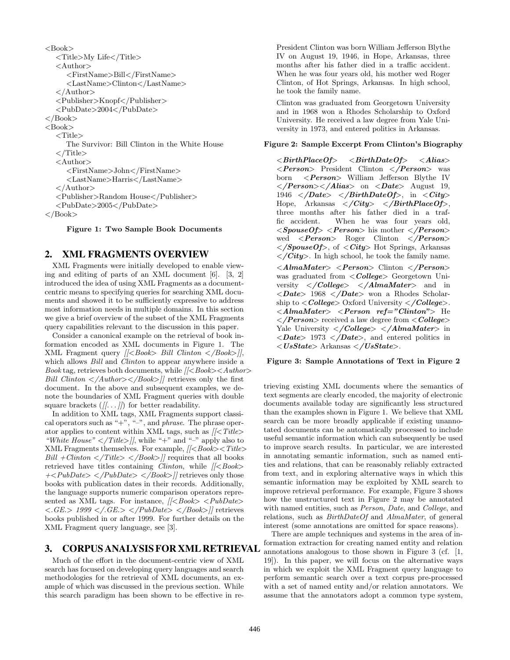```
<Book>
  <Title>My Life</Title>
  <Author>
     <FirstName>Bill</FirstName>
     <LastName>Clinton</LastName>
  </Author>
  <Publisher>Knopf</Publisher>
  <PubDate>2004</PubDate>
</Book>
<Book>
  <Title>
     The Survivor: Bill Clinton in the White House
  </Title>
  <Author>
     <FirstName>John</FirstName>
     <LastName>Harris</LastName>
  </Author>
  <Publisher>Random House</Publisher>
  <PubDate>2005</PubDate>
</Book>
```
**Figure 1: Two Sample Book Documents**

# **2. XML FRAGMENTS OVERVIEW**

XML Fragments were initially developed to enable viewing and editing of parts of an XML document [6]. [3, 2] introduced the idea of using XML Fragments as a documentcentric means to specifying queries for searching XML documents and showed it to be sufficiently expressive to address most information needs in multiple domains. In this section we give a brief overview of the subset of the XML Fragments query capabilities relevant to the discussion in this paper.

Consider a canonical example on the retrieval of book information encoded as XML documents in Figure 1. The XML Fragment query *[[<Book> Bill Clinton </Book>]]*, which allows *Bill* and *Clinton* to appear anywhere inside a *Book* tag, retrieves both documents, while *[[<Book><Author> Bill Clinton </Author></Book>]]* retrieves only the first document. In the above and subsequent examples, we denote the boundaries of XML Fragment queries with double square brackets  $([...]]$  for better readability.

In addition to XML tags, XML Fragments support classical operators such as "+", "–", and *phrase*. The phrase operator applies to content within XML tags, such as *[[<Title> "White House" </Title>]]*, while "+" and "–" apply also to XML Fragments themselves. For example, *[[<Book><Title> Bill +Clinton*  $\langle$ /*Title* $>$   $\langle$ /*Book* $>$ *]]* requires that all books retrieved have titles containing *Clinton*, while *[[<Book> +<PubDate> </PubDate> </Book>]]* retrieves only those books with publication dates in their records. Additionally, the language supports numeric comparison operators represented as XML tags. For instance, *[[<Book> <PubDate> <.GE.> 1999 </.GE.> </PubDate> </Book>]]* retrieves books published in or after 1999. For further details on the XML Fragment query language, see [3].

# **3. CORPUS ANALYSIS FOR XML RETRIEVAL**

Much of the effort in the document-centric view of XML search has focused on developing query languages and search methodologies for the retrieval of XML documents, an example of which was discussed in the previous section. While this search paradigm has been shown to be effective in re-

President Clinton was born William Jefferson Blythe IV on August 19, 1946, in Hope, Arkansas, three months after his father died in a traffic accident. When he was four years old, his mother wed Roger Clinton, of Hot Springs, Arkansas. In high school, he took the family name.

Clinton was graduated from Georgetown University and in 1968 won a Rhodes Scholarship to Oxford University. He received a law degree from Yale University in 1973, and entered politics in Arkansas.

#### **Figure 2: Sample Excerpt From Clinton's Biography**

*<BirthPlaceOf> <BirthDateOf> <Alias> <Person>* President Clinton *</Person>* was born *<Person>* William Jefferson Blythe IV *</Person></Alias>* on *<Date>* August 19, 1946 *</Date> </BirthDateOf>*, in *<City>* Hope, Arkansas *</City> </BirthPlaceOf>*, three months after his father died in a traffic accident. When he was four years old, *<SpouseOf> <Person>* his mother *</Person>* wed *<Person>* Roger Clinton *</Person> </SpouseOf>*, of *<City>* Hot Springs, Arkansas *</City>*. In high school, he took the family name. *<AlmaMater> <Person>* Clinton *</Person>* was graduated from *<College>* Georgetown University *</College> </AlmaMater>* and in *<Date>* 1968 *</Date>* won a Rhodes Scholarship to *<College>* Oxford University *</College>*. *<AlmaMater> <Person ref="Clinton">* He *</Person>* received a law degree from *<College>* Yale University *</College> </AlmaMater>* in *<Date>* 1973 *</Date>*, and entered politics in *<UsState>* Arkansas *</UsState>*.

**Figure 3: Sample Annotations of Text in Figure 2**

trieving existing XML documents where the semantics of text segments are clearly encoded, the majority of electronic documents available today are significantly less structured than the examples shown in Figure 1. We believe that XML search can be more broadly applicable if existing unannotated documents can be automatically processed to include useful semantic information which can subsequently be used to improve search results. In particular, we are interested in annotating semantic information, such as named entities and relations, that can be reasonably reliably extracted from text, and in exploring alternative ways in which this semantic information may be exploited by XML search to improve retrieval performance. For example, Figure 3 shows how the unstructured text in Figure 2 may be annotated with named entities, such as *Person*, *Date*, and *College*, and relations, such as *BirthDateOf* and *AlmaMater*, of general interest (some annotations are omitted for space reasons).

There are ample techniques and systems in the area of information extraction for creating named entity and relation annotations analogous to those shown in Figure 3 (cf. [1, 19]). In this paper, we will focus on the alternative ways in which we exploit the XML Fragment query language to perform semantic search over a text corpus pre-processed with a set of named entity and/or relation annotators. We assume that the annotators adopt a common type system,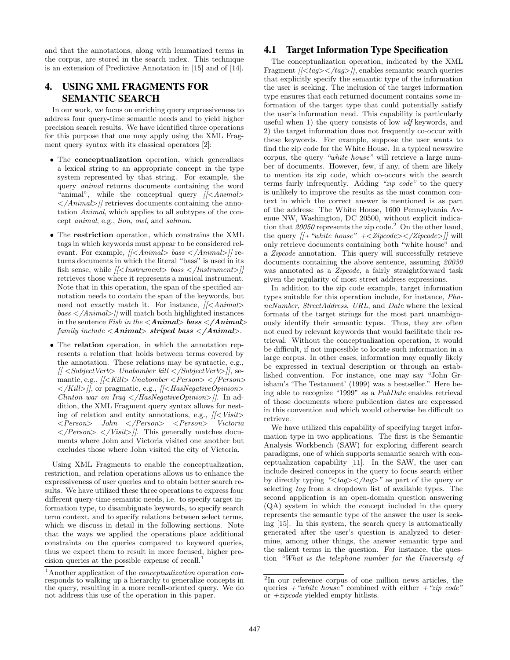and that the annotations, along with lemmatized terms in the corpus, are stored in the search index. This technique is an extension of Predictive Annotation in [15] and of [14].

# **4. USING XML FRAGMENTS FOR SEMANTIC SEARCH**

In our work, we focus on enriching query expressiveness to address four query-time semantic needs and to yield higher precision search results. We have identified three operations for this purpose that one may apply using the XML Fragment query syntax with its classical operators [2]:

- *•* The **conceptualization** operation, which generalizes a lexical string to an appropriate concept in the type system represented by that string. For example, the query *animal* returns documents containing the word "animal", while the conceptual query *[[<Animal> </Animal>]]* retrieves documents containing the annotation *Animal*, which applies to all subtypes of the concept *animal*, e.g., *lion*, *owl*, and *salmon*.
- *•* The **restriction** operation, which constrains the XML tags in which keywords must appear to be considered relevant. For example, *[[<Animal> bass </Animal>]]* returns documents in which the literal "bass" is used in its fish sense, while *[[<Instrument> bass </Instrument>]]* retrieves those where it represents a musical instrument. Note that in this operation, the span of the specified annotation needs to contain the span of the keywords, but need not exactly match it. For instance, *[[<Animal> bass </Animal>]]* will match both highlighted instances in the sentence *Fish in the <Animal> bass </Animal> family include <Animal> striped bass </Animal>*.
- *•* The **relation** operation, in which the annotation represents a relation that holds between terms covered by the annotation. These relations may be syntactic, e.g., *[[ <SubjectVerb> Unabomber kill </SubjectVerb>]]*, semantic, e.g., *[[<Kill> Unabomber <Person> </Person> </Kill>]]*, or pragmatic, e.g., *[[<HasNegativeOpinion> Clinton war on Iraq </HasNegativeOpinion>]]*. In addition, the XML Fragment query syntax allows for nesting of relation and entity annotations, e.g., *[[<Visit> <Person> John </Person> <Person> Victoria </Person> </Visit>]]*. This generally matches documents where John and Victoria visited one another but excludes those where John visited the city of Victoria.

Using XML Fragments to enable the conceptualization, restriction, and relation operations allows us to enhance the expressiveness of user queries and to obtain better search results. We have utilized these three operations to express four different query-time semantic needs, i.e. to specify target information type, to disambiguate keywords, to specify search term context, and to specify relations between select terms, which we discuss in detail in the following sections. Note that the ways we applied the operations place additional constraints on the queries compared to keyword queries, thus we expect them to result in more focused, higher precision queries at the possible expense of recall.

# **4.1 Target Information Type Specification**

The conceptualization operation, indicated by the XML Fragment *[[<tag></tag>]]*, enables semantic search queries that explicitly specify the semantic type of the information the user is seeking. The inclusion of the target information type ensures that each returned document contains *some* information of the target type that could potentially satisfy the user's information need. This capability is particularly useful when 1) the query consists of low *idf* keywords, and 2) the target information does not frequently co-occur with these keywords. For example, suppose the user wants to find the zip code for the White House. In a typical newswire corpus, the query *"white house"* will retrieve a large number of documents. However, few, if any, of them are likely to mention its zip code, which co-occurs with the search terms fairly infrequently. Adding *"zip code"* to the query is unlikely to improve the results as the most common context in which the correct answer is mentioned is as part of the address: The White House, 1600 Pennsylvania Avenue NW, Washington, DC 20500, without explicit indication that *20050* represents the zip code.<sup>2</sup> On the other hand, the query  $[$ / $]$ + "white house"  $+$ < $Zipcode>\lt;$ / $Zipcode>\ll$ ]] will only retrieve documents containing both "white house" and a *Zipcode* annotation. This query will successfully retrieve documents containing the above sentence, assuming *20050* was annotated as a *Zipcode*, a fairly straightforward task given the regularity of most street address expressions.

In addition to the zip code example, target information types suitable for this operation include, for instance, *PhoneNumber*, *StreetAddress*, *URL*, and *Date* where the lexical formats of the target strings for the most part unambiguously identify their semantic types. Thus, they are often not cued by relevant keywords that would facilitate their retrieval. Without the conceptualization operation, it would be difficult, if not impossible to locate such information in a large corpus. In other cases, information may equally likely be expressed in textual description or through an established convention. For instance, one may say "John Grisham's 'The Testament' (1999) was a bestseller." Here being able to recognize "1999" as a *PubDate* enables retrieval of those documents where publication dates are expressed in this convention and which would otherwise be difficult to retrieve.

We have utilized this capability of specifying target information type in two applications. The first is the Semantic Analysis Workbench (SAW) for exploring different search paradigms, one of which supports semantic search with conceptualization capability [11]. In the SAW, the user can include desired concepts in the query to focus search either by directly typing *"<tag></tag>"* as part of the query or selecting *tag* from a dropdown list of available types. The second application is an open-domain question answering (QA) system in which the concept included in the query represents the semantic type of the answer the user is seeking [15]. In this system, the search query is automatically generated after the user's question is analyzed to determine, among other things, the answer semantic type and the salient terms in the question. For instance, the question *"What is the telephone number for the University of*

<sup>1</sup>Another application of the *conceptualization* operation corresponds to walking up a hierarchy to generalize concepts in the query, resulting in a more recall-oriented query. We do not address this use of the operation in this paper.

<sup>2</sup>In our reference corpus of one million news articles, the queries *+"white house"* combined with either *+"zip code"* or *+zipcode* yielded empty hitlists.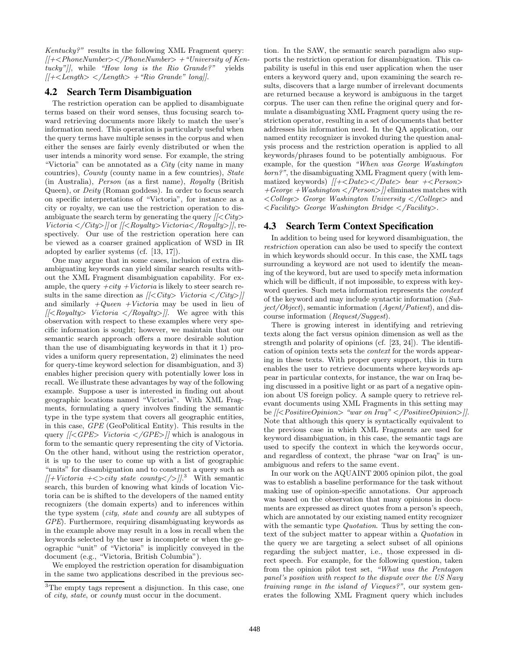*Kentucky?"* results in the following XML Fragment query: *[[+<PhoneNumber></PhoneNumber> +"University of Kentucky"]]*, while *"How long is the Rio Grande?"* yields *[[+<Length> </Length> +"Rio Grande" long]]*.

#### **4.2 Search Term Disambiguation**

The restriction operation can be applied to disambiguate terms based on their word senses, thus focusing search toward retrieving documents more likely to match the user's information need. This operation is particularly useful when the query terms have multiple senses in the corpus and when either the senses are fairly evenly distributed or when the user intends a minority word sense. For example, the string "Victoria" can be annotated as a *City* (city name in many countries), *County* (county name in a few countries), *State* (in Australia), *Person* (as a first name), *Royalty* (British Queen), or *Deity* (Roman goddess). In order to focus search on specific interpretations of "Victoria", for instance as a city or royalty, we can use the restriction operation to disambiguate the search term by generating the query *[[<City> Victoria </City>]]* or *[[<Royalty>Victoria</Royalty>]]*, respectively. Our use of the restriction operation here can be viewed as a coarser grained application of WSD in IR adopted by earlier systems (cf. [13, 17]).

One may argue that in some cases, inclusion of extra disambiguating keywords can yield similar search results without the XML Fragment disambiguation capability. For example, the query  $+city +Victoria$  is likely to steer search results in the same direction as *[[<City> Victoria </City>]]* and similarly  $+Queen +Victoria$  may be used in lieu of *[[<Royalty> Victoria </Royalty>]]*. We agree with this observation with respect to these examples where very specific information is sought; however, we maintain that our semantic search approach offers a more desirable solution than the use of disambiguating keywords in that it 1) provides a uniform query representation, 2) eliminates the need for query-time keyword selection for disambiguation, and 3) enables higher precision query with potentially lower loss in recall. We illustrate these advantages by way of the following example. Suppose a user is interested in finding out about geographic locations named "Victoria". With XML Fragments, formulating a query involves finding the semantic type in the type system that covers all geographic entities, in this case, *GPE* (GeoPolitical Entity). This results in the query *[[<GPE> Victoria </GPE>]]* which is analogous in form to the semantic query representing the city of Victoria. On the other hand, without using the restriction operator, it is up to the user to come up with a list of geographic "units" for disambiguation and to construct a query such as  $[$ *[+Victoria +* $\lt$ >*city state county* $\lt$  />*]*].<sup>3</sup> With semantic search, this burden of knowing what kinds of location Victoria can be is shifted to the developers of the named entity recognizers (the domain experts) and to inferences within the type system (*city*, *state* and *county* are all subtypes of *GPE*). Furthermore, requiring disambiguating keywords as in the example above may result in a loss in recall when the keywords selected by the user is incomplete or when the geographic "unit" of "Victoria" is implicitly conveyed in the document (e.g., "Victoria, British Columbia").

We employed the restriction operation for disambiguation in the same two applications described in the previous section. In the SAW, the semantic search paradigm also supports the restriction operation for disambiguation. This capability is useful in this end user application when the user enters a keyword query and, upon examining the search results, discovers that a large number of irrelevant documents are returned because a keyword is ambiguous in the target corpus. The user can then refine the original query and formulate a disambiguating XML Fragment query using the restriction operator, resulting in a set of documents that better addresses his information need. In the QA application, our named entity recognizer is invoked during the question analysis process and the restriction operation is applied to all keywords/phrases found to be potentially ambiguous. For example, for the question *"When was George Washington born?"*, the disambiguating XML Fragment query (with lemmatized keywords) *[[+<Date></Date> bear +<Person> +George +Washington </Person>]]* eliminates matches with *<College> George Washington University </College>* and *<Facility> George Washington Bridge </Facility>*.

# **4.3 Search Term Context Specification**

In addition to being used for keyword disambiguation, the *restriction* operation can also be used to specify the context in which keywords should occur. In this case, the XML tags surrounding a keyword are not used to identify the meaning of the keyword, but are used to specify meta information which will be difficult, if not impossible, to express with keyword queries. Such meta information represents the *context* of the keyword and may include syntactic information (*Subject/Object*), semantic information (*Agent/Patient*), and discourse information (*Request/Suggest*).

There is growing interest in identifying and retrieving texts along the fact versus opinion dimension as well as the strength and polarity of opinions (cf. [23, 24]). The identification of opinion texts sets the *context* for the words appearing in these texts. With proper query support, this in turn enables the user to retrieve documents where keywords appear in particular contexts, for instance, the war on Iraq being discussed in a positive light or as part of a negative opinion about US foreign policy. A sample query to retrieve relevant documents using XML Fragments in this setting may be *[[<PositiveOpinion> "war on Iraq" </PositiveOpinion>]]*. Note that although this query is syntactically equivalent to the previous case in which XML Fragments are used for keyword disambiguation, in this case, the semantic tags are used to specify the context in which the keywords occur, and regardless of context, the phrase "war on Iraq" is unambiguous and refers to the same event.

In our work on the AQUAINT 2005 opinion pilot, the goal was to establish a baseline performance for the task without making use of opinion-specific annotations. Our approach was based on the observation that many opinions in documents are expressed as direct quotes from a person's speech, which are annotated by our existing named entity recognizer with the semantic type *Quotation*. Thus by setting the context of the subject matter to appear within a *Quotation* in the query we are targeting a select subset of all opinions regarding the subject matter, i.e., those expressed in direct speech. For example, for the following question, taken from the opinion pilot test set, *"What was the Pentagon panel's position with respect to the dispute over the US Navy training range in the island of Vieques?"*, our system generates the following XML Fragment query which includes

<sup>3</sup>The empty tags represent a disjunction. In this case, one of *city*, *state*, or *county* must occur in the document.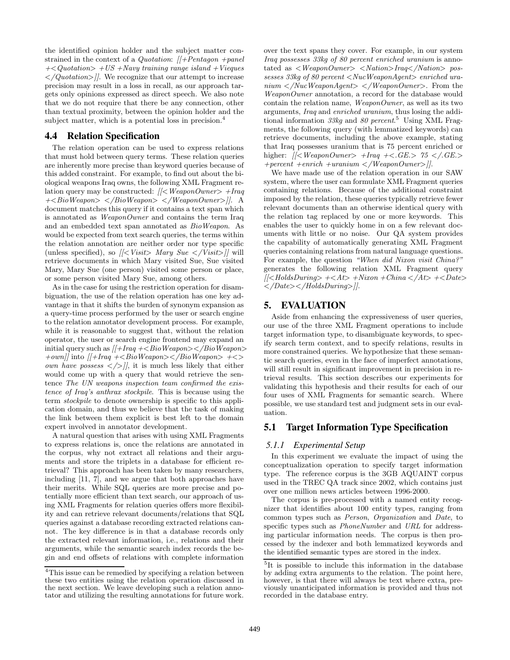the identified opinion holder and the subject matter constrained in the context of a *Quotation*: *[[+Pentagon +panel +<Quotation> +US +Navy training range island +Vieques </Quotation>]]*. We recognize that our attempt to increase precision may result in a loss in recall, as our approach targets only opinions expressed as direct speech. We also note that we do not require that there be any connection, other than textual proximity, between the opinion holder and the subject matter, which is a potential loss in precision.<sup>4</sup>

# **4.4 Relation Specification**

The relation operation can be used to express relations that must hold between query terms. These relation queries are inherently more precise than keyword queries because of this added constraint. For example, to find out about the biological weapons Iraq owns, the following XML Fragment relation query may be constructed: *[[<WeaponOwner> +Iraq +<BioWeapon> </BioWeapon> </WeaponOwner>]]*. A document matches this query if it contains a text span which is annotated as *WeaponOwner* and contains the term Iraq and an embedded text span annotated as *BioWeapon*. As would be expected from text search queries, the terms within the relation annotation are neither order nor type specific (unless specified), so  $\sqrt{\langle Visit \rangle}$  *Mary Sue*  $\langle \sqrt{Visit} \rangle$  *will* retrieve documents in which Mary visited Sue, Sue visited Mary, Mary Sue (one person) visited some person or place, or some person visited Mary Sue, among others.

As in the case for using the restriction operation for disambiguation, the use of the relation operation has one key advantage in that it shifts the burden of synonym expansion as a query-time process performed by the user or search engine to the relation annotator development process. For example, while it is reasonable to suggest that, without the relation operator, the user or search engine frontend may expand an initial query such as *[[+Iraq +<BioWeapon></BioWeapon> +own]]* into *[[+Iraq +<BioWeapon></BioWeapon> +<> own have possess*  $\langle \rangle$ ], it is much less likely that either would come up with a query that would retrieve the sentence *The UN weapons inspection team confirmed the existence of Iraq's anthrax stockpile*. This is because using the term *stockpile* to denote ownership is specific to this application domain, and thus we believe that the task of making the link between them explicit is best left to the domain expert involved in annotator development.

A natural question that arises with using XML Fragments to express relations is, once the relations are annotated in the corpus, why not extract all relations and their arguments and store the triplets in a database for efficient retrieval? This approach has been taken by many researchers, including [11, 7], and we argue that both approaches have their merits. While SQL queries are more precise and potentially more efficient than text search, our approach of using XML Fragments for relation queries offers more flexibility and can retrieve relevant documents/relations that SQL queries against a database recording extracted relations cannot. The key difference is in that a database records only the extracted relevant information, i.e., relations and their arguments, while the semantic search index records the begin and end offsets of relations with complete information over the text spans they cover. For example, in our system *Iraq possesses 33kg of 80 percent enriched uranium* is annotated as *<WeaponOwner> <Nation>Iraq</Nation> possesses 33kg of 80 percent <NucWeaponAgent> enriched uranium </NucWeaponAgent> </WeaponOwner>*. From the *WeaponOwner* annotation, a record for the database would contain the relation name, *WeaponOwner*, as well as its two arguments, *Iraq* and *enriched uranium*, thus losing the additional information *33kg* and *80 percent*. <sup>5</sup> Using XML Fragments, the following query (with lemmatized keywords) can retrieve documents, including the above example, stating that Iraq possesses uranium that is 75 percent enriched or higher: *[[<WeaponOwner> +Iraq +<.GE.> 75 </.GE.> +percent +enrich +uranium </WeaponOwner>]]*.

We have made use of the relation operation in our SAW system, where the user can formulate XML Fragment queries containing relations. Because of the additional constraint imposed by the relation, these queries typically retrieve fewer relevant documents than an otherwise identical query with the relation tag replaced by one or more keywords. This enables the user to quickly home in on a few relevant documents with little or no noise. Our QA system provides the capability of automatically generating XML Fragment queries containing relations from natural language questions. For example, the question *"When did Nixon visit China?"* generates the following relation XML Fragment query *[[<HoldsDuring> +<At> +Nixon +China </At> +<Date> </Date></HoldsDuring>]]*.

# **5. EVALUATION**

Aside from enhancing the expressiveness of user queries, our use of the three XML Fragment operations to include target information type, to disambiguate keywords, to specify search term context, and to specify relations, results in more constrained queries. We hypothesize that these semantic search queries, even in the face of imperfect annotations, will still result in significant improvement in precision in retrieval results. This section describes our experiments for validating this hypothesis and their results for each of our four uses of XML Fragments for semantic search. Where possible, we use standard test and judgment sets in our evaluation.

# **5.1 Target Information Type Specification**

#### *5.1.1 Experimental Setup*

In this experiment we evaluate the impact of using the conceptualization operation to specify target information type. The reference corpus is the 3GB AQUAINT corpus used in the TREC QA track since 2002, which contains just over one million news articles between 1996-2000.

The corpus is pre-processed with a named entity recognizer that identifies about 100 entity types, ranging from common types such as *Person*, *Organization* and *Date*, to specific types such as *PhoneNumber* and *URL* for addressing particular information needs. The corpus is then processed by the indexer and both lemmatized keywords and the identified semantic types are stored in the index.

<sup>&</sup>lt;sup>4</sup>This issue can be remedied by specifying a relation between these two entities using the relation operation discussed in the next section. We leave developing such a relation annotator and utilizing the resulting annotations for future work.

<sup>5</sup>It is possible to include this information in the database by adding extra arguments to the relation. The point here, however, is that there will always be text where extra, previously unanticipated information is provided and thus not recorded in the database entry.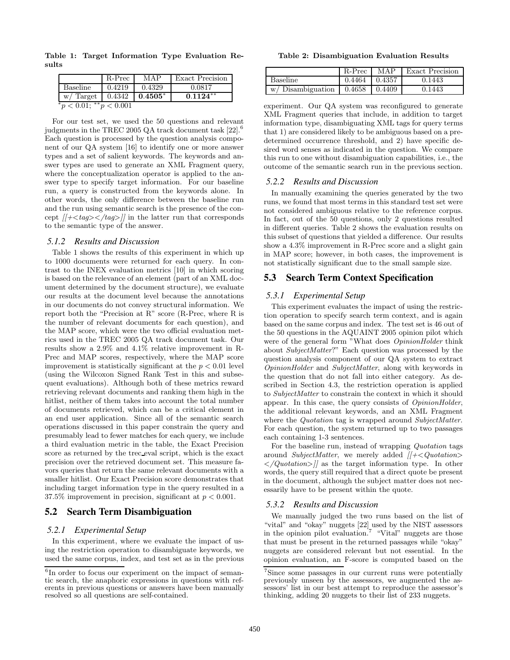**Table 1: Target Information Type Evaluation Results**

|                | $R-Prec$     | MAP       | Exact Precision |
|----------------|--------------|-----------|-----------------|
| Baseline       | 0.4219       | 0.4329    | 0.0817          |
| w/Target       | 0.4342       | $0.4505*$ | $0.1124***$     |
| $^*n < 0.01$ : | $***n<0.001$ |           |                 |

For our test set, we used the 50 questions and relevant judgments in the TREC 2005 QA track document task [22].<sup>6</sup> Each question is processed by the question analysis component of our QA system [16] to identify one or more answer types and a set of salient keywords. The keywords and answer types are used to generate an XML Fragment query, where the conceptualization operator is applied to the answer type to specify target information. For our baseline run, a query is constructed from the keywords alone. In other words, the only difference between the baseline run and the run using semantic search is the presence of the concept  $|$ / $\neq$   $\lt$ *tag* $>$   $\lt$ /*tag* $>$ *]* $|$  in the latter run that corresponds to the semantic type of the answer.

#### *5.1.2 Results and Discussion*

Table 1 shows the results of this experiment in which up to 1000 documents were returned for each query. In contrast to the INEX evaluation metrics [10] in which scoring is based on the relevance of an element (part of an XML document determined by the document structure), we evaluate our results at the document level because the annotations in our documents do not convey structural information. We report both the "Precision at R" score (R-Prec, where R is the number of relevant documents for each question), and the MAP score, which were the two official evaluation metrics used in the TREC 2005 QA track document task. Our results show a 2.9% and 4.1% relative improvement in R-Prec and MAP scores, respectively, where the MAP score improvement is statistically significant at the *p <* 0*.*01 level (using the Wilcoxon Signed Rank Test in this and subsequent evaluations). Although both of these metrics reward retrieving relevant documents and ranking them high in the hitlist, neither of them takes into account the total number of documents retrieved, which can be a critical element in an end user application. Since all of the semantic search operations discussed in this paper constrain the query and presumably lead to fewer matches for each query, we include a third evaluation metric in the table, the Exact Precision score as returned by the trec eval script, which is the exact precision over the retrieved document set. This measure favors queries that return the same relevant documents with a smaller hitlist. Our Exact Precision score demonstrates that including target information type in the query resulted in a 37.5% improvement in precision, significant at *p <* 0*.*001.

# **5.2 Search Term Disambiguation**

#### *5.2.1 Experimental Setup*

In this experiment, where we evaluate the impact of using the restriction operation to disambiguate keywords, we used the same corpus, index, and test set as in the previous

**Table 2: Disambiguation Evaluation Results**

|                                                |                     | R-Prec   MAP   Exact Precision |
|------------------------------------------------|---------------------|--------------------------------|
| Baseline                                       | $0.4464$   $0.4357$ | 0.1443                         |
| $\mathbf{w}/$ Disambiguation   0.4658   0.4409 |                     | 0.1443                         |

experiment. Our QA system was reconfigured to generate XML Fragment queries that include, in addition to target information type, disambiguating XML tags for query terms that 1) are considered likely to be ambiguous based on a predetermined occurrence threshold, and 2) have specific desired word senses as indicated in the question. We compare this run to one without disambiguation capabilities, i.e., the outcome of the semantic search run in the previous section.

#### *5.2.2 Results and Discussion*

In manually examining the queries generated by the two runs, we found that most terms in this standard test set were not considered ambiguous relative to the reference corpus. In fact, out of the 50 questions, only 2 questions resulted in different queries. Table 2 shows the evaluation results on this subset of questions that yielded a difference. Our results show a 4.3% improvement in R-Prec score and a slight gain in MAP score; however, in both cases, the improvement is not statistically significant due to the small sample size.

#### **5.3 Search Term Context Specification**

#### *5.3.1 Experimental Setup*

This experiment evaluates the impact of using the restriction operation to specify search term context, and is again based on the same corpus and index. The test set is 46 out of the 50 questions in the AQUAINT 2005 opinion pilot which were of the general form "What does *OpinionHolder* think about *SubjectMatter*?" Each question was processed by the question analysis component of our QA system to extract *OpinionHolder* and *SubjectMatter*, along with keywords in the question that do not fall into either category. As described in Section 4.3, the restriction operation is applied to *SubjectMatter* to constrain the context in which it should appear. In this case, the query consists of *OpinionHolder*, the additional relevant keywords, and an XML Fragment where the *Quotation* tag is wrapped around *SubjectMatter*. For each question, the system returned up to two passages each containing 1-3 sentences.

For the baseline run, instead of wrapping *Quotation* tags around *SubjectMatter*, we merely added *[[+<Quotation> </Quotation>]]* as the target information type. In other words, the query still required that a direct quote be present in the document, although the subject matter does not necessarily have to be present within the quote.

#### *5.3.2 Results and Discussion*

We manually judged the two runs based on the list of "vital" and "okay" nuggets [22] used by the NIST assessors in the opinion pilot evaluation.<sup>7</sup> "Vital" nuggets are those that must be present in the returned passages while "okay" nuggets are considered relevant but not essential. In the opinion evaluation, an F-score is computed based on the

 ${}^{6}$ In order to focus our experiment on the impact of semantic search, the anaphoric expressions in questions with referents in previous questions or answers have been manually resolved so all questions are self-contained.

<sup>7</sup>Since some passages in our current runs were potentially previously unseen by the assessors, we augmented the assessors' list in our best attempt to reproduce the assessor's thinking, adding 20 nuggets to their list of 233 nuggets.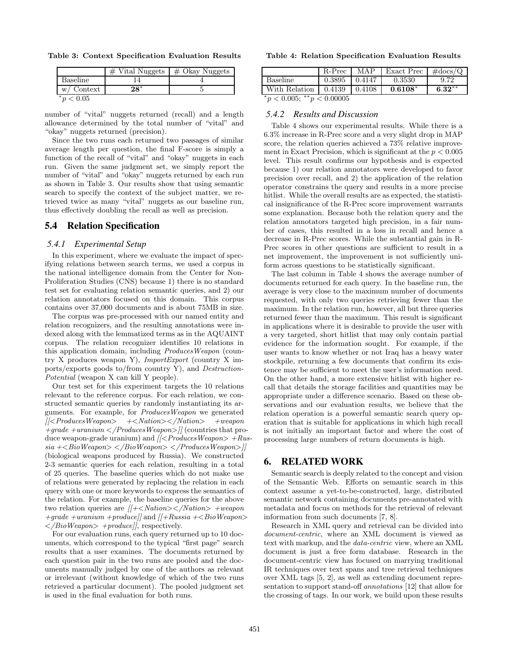**Table 3: Context Specification Evaluation Results**

|            |       | $\#$ Vital Nuggets $\#$ Okay Nuggets |
|------------|-------|--------------------------------------|
| Baseline   |       |                                      |
| w/ Context | $28*$ |                                      |
| ${}< 0.05$ |       |                                      |

number of "vital" nuggets returned (recall) and a length allowance determined by the total number of "vital" and "okay" nuggets returned (precision).

Since the two runs each returned two passages of similar average length per question, the final F-score is simply a function of the recall of "vital" and "okay" nuggets in each run. Given the same judgment set, we simply report the number of "vital" and "okay" nuggets returned by each run as shown in Table 3. Our results show that using semantic search to specify the context of the subject matter, we retrieved twice as many "vital" nuggets as our baseline run, thus effectively doubling the recall as well as precision.

#### **5.4 Relation Specification**

#### *5.4.1 Experimental Setup*

In this experiment, where we evaluate the impact of specifying relations between search terms, we used a corpus in the national intelligence domain from the Center for Non-Proliferation Studies (CNS) because 1) there is no standard test set for evaluating relation semantic queries, and 2) our relation annotators focused on this domain. This corpus contains over 37,000 documents and is about 75MB in size.

The corpus was pre-processed with our named entity and relation recognizers, and the resulting annotations were indexed along with the lemmatized terms as in the AQUAINT corpus. The relation recognizer identifies 10 relations in this application domain, including *ProducesWeapon* (country X produces weapon Y), *ImportExport* (country X imports/exports goods to/from country Y), and *Destruction-Potential* (weapon X can kill Y people).

Our test set for this experiment targets the 10 relations relevant to the reference corpus. For each relation, we constructed semantic queries by randomly instantiating its arguments. For example, for *ProducesWeapon* we generated *[[<ProducesWeapon> +<Nation></Nation> +weapon +grade +uranium </ProducesWeapon>]]* (countries that produce weapon-grade uranium) and *[[<ProducesWeapon> +Russia +<BioWeapon> </BioWeapon> </ProducesWeapon>]]* (biological weapons produced by Russia). We constructed 2-3 semantic queries for each relation, resulting in a total of 25 queries. The baseline queries which do not make use of relations were generated by replacing the relation in each query with one or more keywords to express the semantics of the relation. For example, the baseline queries for the above two relation queries are *[[+<Nation></Nation> +weapon +grade +uranium +produce]]* and *[[+Russia +<BioWeapon> </BioWeapon> +produce]]*, respectively.

For our evaluation runs, each query returned up to 10 documents, which correspond to the typical "first page" search results that a user examines. The documents returned by each question pair in the two runs are pooled and the documents manually judged by one of the authors as relevant or irrelevant (without knowledge of which of the two runs retrieved a particular document). The pooled judgment set is used in the final evaluation for both runs.

**Table 4: Relation Specification Evaluation Results**

|                                                             | R-Prec | MAP    | Exact Prec | $\#\text{docs}/\text{Q}$ |  |
|-------------------------------------------------------------|--------|--------|------------|--------------------------|--|
| Baseline                                                    | 0.3895 | 0.4147 | 0.3530     | 9.72                     |  |
| With Relation                                               | 0.4139 | 0.4108 | $0.6108*$  | $6.32**$                 |  |
| $*$ $\sim$ $\cap$ $\cap$ $\sim$ $**$<br>$\sim$ 0.000 $\sim$ |        |        |            |                          |  |

<sup>∗</sup>*p <* 0*.*005; ∗∗*p <* 0*.*00005

# *5.4.2 Results and Discussion*

Table 4 shows our experimental results. While there is a 6.3% increase in R-Prec score and a very slight drop in MAP score, the relation queries achieved a 73% relative improvement in Exact Precision, which is significant at the  $p < 0.005$ level. This result confirms our hypothesis and is expected because 1) our relation annotators were developed to favor precision over recall, and 2) the application of the relation operator constrains the query and results in a more precise hitlist. While the overall results are as expected, the statistical insignificance of the R-Prec score improvement warrants some explanation. Because both the relation query and the relation annotators targeted high precision, in a fair number of cases, this resulted in a loss in recall and hence a decrease in R-Prec scores. While the substantial gain in R-Prec scores in other questions are sufficient to result in a net improvement, the improvement is not sufficiently uniform across questions to be statistically significant.

The last column in Table 4 shows the average number of documents returned for each query. In the baseline run, the average is very close to the maximum number of documents requested, with only two queries retrieving fewer than the maximum. In the relation run, however, all but three queries returned fewer than the maximum. This result is significant in applications where it is desirable to provide the user with a very targeted, short hitlist that may only contain partial evidence for the information sought. For example, if the user wants to know whether or not Iraq has a heavy water stockpile, returning a few documents that confirm its existence may be sufficient to meet the user's information need. On the other hand, a more extensive hitlist with higher recall that details the storage facilities and quantities may be appropriate under a difference scenario. Based on these observations and our evaluation results, we believe that the relation operation is a powerful semantic search query operation that is suitable for applications in which high recall is not initially an important factor and where the cost of processing large numbers of return documents is high.

#### **6. RELATED WORK**

Semantic search is deeply related to the concept and vision of the Semantic Web. Efforts on semantic search in this context assume a yet-to-be-constructed, large, distributed semantic network containing documents pre-annotated with metadata and focus on methods for the retrieval of relevant information from such documents [7, 8].

Research in XML query and retrieval can be divided into *document-centric*, where an XML document is viewed as text with markup, and the *data-centric* view, where an XML document is just a free form database. Research in the document-centric view has focused on marrying traditional IR techniques over text spans and tree retrieval techniques over XML tags [5, 2], as well as extending document representation to support stand-off *annotations* [12] that allow for the crossing of tags. In our work, we build upon these results